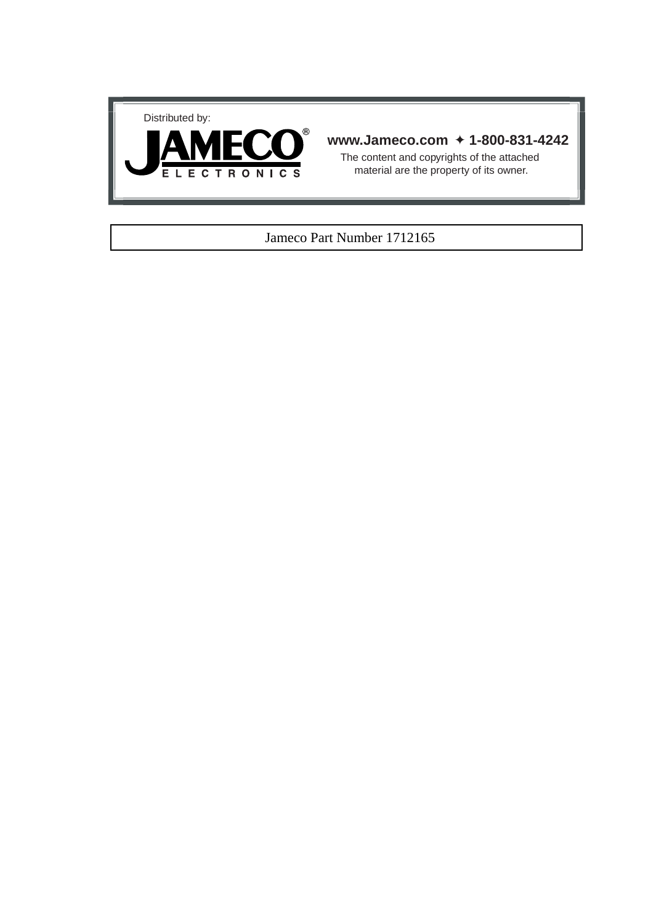



### **www.Jameco.com** ✦ **1-800-831-4242**

The content and copyrights of the attached material are the property of its owner.

### Jameco Part Number 1712165